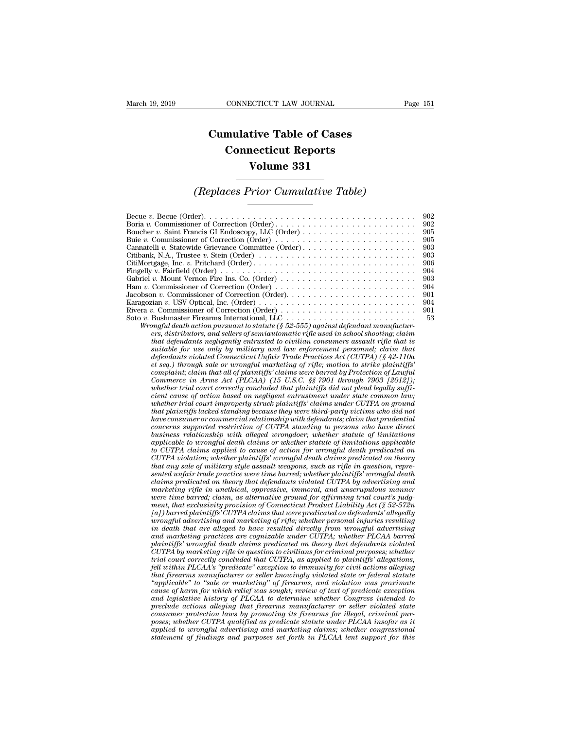## **CONNECTICUT LAW JOURNAL**<br> **Cumulative Table of Cases<br>
Connecticut Reports CONNECTICUT LAW JOURNAL**<br> **CONNECTICUT LAW JOURNAL**<br> **CONNECTICUT Reports<br>
Volume 331 ECTICUT LAW JOURNAL**<br> **Volume 331**<br> **Volume 331**<br> **Volume 331** *Cumulative Table of Cases*<br> *Connecticut Reports*<br> *Volume 331*<br> *(Replaces Prior Cumulative Table)*<br> *Connection Cumulative Table*)

| Volume 331                                                                                                                                                                                                                                                                                                                                                                                                                                                                                                                                                                                                                                                                                                                                                                                                                                                                                                                                                                                                                                                                                    |                                                                                               |
|-----------------------------------------------------------------------------------------------------------------------------------------------------------------------------------------------------------------------------------------------------------------------------------------------------------------------------------------------------------------------------------------------------------------------------------------------------------------------------------------------------------------------------------------------------------------------------------------------------------------------------------------------------------------------------------------------------------------------------------------------------------------------------------------------------------------------------------------------------------------------------------------------------------------------------------------------------------------------------------------------------------------------------------------------------------------------------------------------|-----------------------------------------------------------------------------------------------|
| <i>(Replaces Prior Cumulative Table)</i>                                                                                                                                                                                                                                                                                                                                                                                                                                                                                                                                                                                                                                                                                                                                                                                                                                                                                                                                                                                                                                                      |                                                                                               |
| Becue v. Becue (Order). $\dots \dots \dots \dots \dots \dots \dots \dots \dots \dots \dots \dots \dots \dots \dots \dots$<br>Boucher v. Saint Francis GI Endoscopy, LLC (Order) $\dots \dots \dots \dots \dots \dots \dots \dots$<br>Cannatelli v. Statewide Grievance Committee (Order)<br>Citibank, N.A., Trustee v. Stein (Order) $\ldots \ldots \ldots \ldots \ldots \ldots \ldots \ldots \ldots \ldots$<br>CitiMortgage, Inc. v. Pritchard $(Order) \ldots \ldots \ldots \ldots \ldots \ldots \ldots \ldots \ldots \ldots \ldots$<br>Karagozian v. USV Optical, Inc. (Order) $\ldots \ldots \ldots \ldots \ldots \ldots \ldots \ldots \ldots \ldots$<br>Wrongful death action pursuant to statute (§ 52-555) against defendant manufactur-<br>ers, distributors, and sellers of semiautomatic rifle used in school shooting; claim<br>that defendants negligently entrusted to civilian consumers assault rifle that is<br>suitable for use only by military and law enforcement personnel; claim that<br>defendants violated Connecticut Unfair Trade Practices Act (CUTPA) (8 42-110a) | 902<br>902<br>905<br>905<br>903<br>903<br>906<br>904<br>903<br>904<br>901<br>904<br>901<br>53 |

*Wrongful death action pursuant to statute (§ 52-555) against defendant manufactursuitable for use only by military and law enforcement personnel; claim that* aan v. USV Optical, Inc. (Order)<br> *definants in Connection (Order)*<br> *Dealmaster Frecarms International, LLC*<br> *definants in terms in terms in terms in that defendant manufacturers, distributors, and sellers of semiautomat suitable for use only by military and law enforcement personnel; claim that* defendants violated Connecticut Unfair Trade Practices Act (CUTPA) (§ 42-110a et seq.) through sale or wrongful marketing of rifle; motion to st *complaint in that all of plaintiffs'* comparisons, the comparison of that action pursuant to statute ( $\frac{1}{5}$   $\frac{52-55}{50}$  against defendant manufacturers, distributors, and sellers of semiautomatic rifle used in scho *Commerce in Arms Act (PLCAA)* (15 U.S.C. §§ 7901 and propertional commerce in Architecture is that defendants negligently entrusted to civilian consumers assault rifle that is suitable for use only by military and law enf *ers, distributors, and sellers of seminautomatic rifle used in school shooting; claim*<br>that defendants negligently entrusted to civilian consumers assault rifle that is<br>suitable for use only by military and law enforcemen *chat defendants negligently entrusted to cuvitan consumers assault rifle that is* suitable for use only by military and law enforcement personnel; claim that  $\det \text{seq}$ , than that  $\det \text{seq}$ , through sale or wrongful market *whether for use only by multary and law enforcement personnel; claim that* defendants violated Connecticut Unfair Trade Practices Act (CUTPA) (§ 42-110a et seq.) through all of plaintiffs' claims were barred by Protection *defendants violated Connecticut Unfair Trade Practices Act (CUTPA) (§ 42-110a*<br>et seq.) through sale or wrongful marketing of rifle; motion to strike plaintiffs'<br>complaint; claim that all of plaintiffs' claims were barred *et seq.) through sale or wrongful marketing of rifle; motion to strike plaintiffs*<br> *commerce in Arms Act (PLCAA)* (15 U.S.C. §§ 7901 *through 7903 [2013]);*<br> *Commerce in Arms Act (PLCAA)* (15 U.S.C. §§ 7901 *through 790 complarnt; clarm that all of plarntyffs' clarms were barred by Protection of Lawfull Commerce in Arms Act (PLCAA) (15 U.S.C. §§7901 through 7903 [2012]); whether trial court correctly concluded that plaintiffs did not p business relationship (15 U.S.C. §§ 7901 through 7903 [2012]);*<br>
whether trial court correctly concluded that plaintiffs did not plead legally suffic-<br>
cient cause of action based on negligent entrustment under state comm *applicable to wrongful concluded that plantitys and not plead legally sufficient cause of action based on negligent entrustment under state common law; whether trial court improperly struck plaintiffs lacked standing beca cient cause of action based on negligent entrustment under state common law;*<br>whether trial court improperly struck plaintiffs' claims under CUTPA on ground<br>that plaintiffs lacked standing because they were third-party vi whether trad court improperty struck plaintiffs' claims under CUTPA on ground<br>that plaintiffs lacked standing because they were third-party victims who did not<br>have consumer or commercial relationship with defendants; clai *that planntyfs lacked standing because they were third-party victims who did not<br>have consumer or commercial relationship with defendants; claim that prudential<br>concerns supported restriction of CUTPA standing to persons* have consumer or commercial relationship with defendants; claim that prudential<br>concerns supported restriction of CUTPA standing to persons who have direct<br>business relationship with alleged wrongdoer; whether statute of l *concerns supported restriction of CUTPA standing to persons who have direct*<br>business relationship with alleged wrongdoer; whether statute of limitations<br>applicable to curongful death claims or whether statute of limitati *business relationship with alleged wrongdoer; whether statute of limitations applicable to wrongful death claims or whether statute of limitations applicable to CUTPA violainon; whether plaintiffs' wrongful death claims p applicable to wrongful death claims or whether statute of limitations applicable to CUTPA claims applied to cause of action for wrongful death predicated on theory (UTPA violation; whether plaintiffs' wrongful death claim to CUTPA claims applied to cause of action for wrongful death predicated on CUTPA violation; whether plaintiffs' wrongful death claims predicated on theory that any sale of military style assault weapons, such as rifle in CUTPA violation; whether plaintiffs' wrongful death claims predicated on theory*<br>that any sale of military style assault weapons, such as rifle in question, repre-<br>sented unfair trade practice were time barred; whether pl *that any sale of multary style assault weapons, such as rifle in question, represented unfair trade practice were time barred; whether plaintiffs' wrongful death claims predicated on theory that defendants violated CUTPA inted unfanr trade practice were time barred, whether plaintiffs' wrongful death* claims predicated on theory that defendants violated CUTPA by advertising and marketing rifle in unethical, oppressive, immoral, and unscru *claims predicated on theory that defendants violated CUTPA by advertising and marketing rifle in unethical, oppressive, immoral, and unscrupulous manner were time barred; claim, as alternative ground for affirming trial c* marketing rifle in unethical, oppressive, immoral, and unscrupulous manner<br>were time barred; claim, as alternative grownd for affirming trial court's judg-<br>ment, that exclusivity provision of Connecticut Product Liability *CUTPA by marketing provision of Connecticut Product Liability Act (§ 52-572n*  $[a]$ ) barred plaintiffs' CUTPA claims that were predicated on defendants' allegedly  $u$  or proper plaintiffs' CUTPA claims that were predicated ment, that exclusivity provision of Connecticut Product Liability Act (§ 52-572n)<br>
[a]) barred plaintiffs' CUTPA claims that were predicated on defendants' allegedly<br>
wrongful advertising and marketing of rifle; whether pe *fal) barred planntiffs'* CUTPA claims that were predicated on defendants' allegedly<br>wrongful advertising and marketing of rifle; whether personal injuries resulting<br>in death that are alleged to have resulted directly from *that firearms manufacturer or seller and marketing of right*; whether personal injuries resulting in death that are alleged to have resulted directly from wrongful advertising and marketing practices are cognizable under *in death that are alleged to have resulted directly from wrongful advertising*<br>pand marketing practices are cognizable under CUTPA; whether PLCAA barred<br>plaintiffs' wrongful death claims predicated on theory that defendan and marketing practices are cognizable under CUTPA; whether PLCAA barred<br>plaintiffs' wrongful death claims predicated on theory that defendants violated<br>CUTPA by marketing rifle in question to civilians for criminal purpos planntiffs' wrongful death claims predicated on theory that defendants violated<br>CUTPA by marketing rifle in question to civilians for criminal purposes; whether<br>firial court correctly concluded that CUTPA, as applied to pl *Precelly concluded that CUTPA, as applied to plaintiffs' allegations,* the trial court correctly concluded that CUTPA, as applied to plaintiffs' allegations, fell within PLCAA's "predicate" exception to immunity for civil *constrain transmandial that CUTPA, as applied to planntiffs' allegations,* fell within PLCAA's "predicate" exception to immunity for civil actions alleging that firearms manufacturer or seller knowingly violated state or *poses; whether CUTPA qualified as predicate statute under Plederal statute* "applicable" to "sale or marketing" of firearms, and violation was proximate cause of harm for which relief was sought; review of text of predica *dhat firearms manufacturer or seller knowingly violated state or federal statute* "applicable" to "sale or marketing" of firearms, and violation was proximate cause of harm for which relief was sought; review of text of p *"applicable" to "sale or marketing" of firearms, and violation was proximate* cause of harm for which relief was sought; review of text of predicate exception and legislative history of PLCAA to determine whether Congress